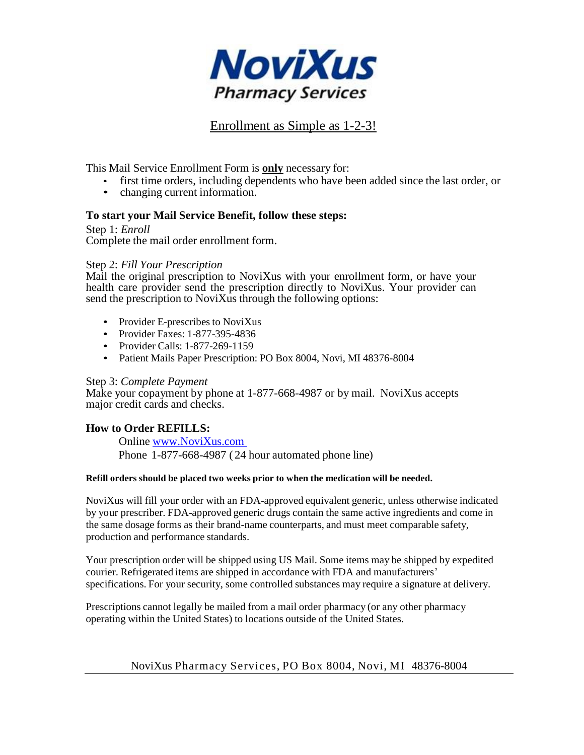

## Enrollment as Simple as 1-2-3!

This Mail Service Enrollment Form is **only** necessary for:

- first time orders, including dependents who have been added since the last order, or
- changing current information.

## **To start your Mail Service Benefit, follow these steps:**

Step 1: *Enroll* Complete the mail order enrollment form.

#### Step 2: *Fill Your Prescription*

Mail the original prescription to NoviXus with your enrollment form, or have your health care provider send the prescription directly to NoviXus. Your provider can send the prescription to NoviXus through the following options:

- Provider E-prescribes to NoviXus
- Provider Faxes: 1-877-395-4836
- Provider Calls: 1-877-269-1159
- Patient Mails Paper Prescription: PO Box 8004, Novi, MI 48376-8004

#### Step 3: *Complete Payment*

Make your copayment by phone at 1-877-668-4987 or by mail. NoviXus accepts major credit cards and checks.

## **How to Order REFILLS:**

Online [www.NoviXus.com](http://www.novixus.com/som) Phone 1-877-668-4987 ( 24 hour automated phone line)

#### **Refill orders should be placed two weeks prior to when the medication will be needed.**

NoviXus will fill your order with an FDA-approved equivalent generic, unless otherwise indicated by your prescriber. FDA-approved generic drugs contain the same active ingredients and come in the same dosage forms as their brand-name counterparts, and must meet comparable safety, production and performance standards.

Your prescription order will be shipped using US Mail. Some items may be shipped by expedited courier. Refrigerated items are shipped in accordance with FDA and manufacturers' specifications. For your security, some controlled substances may require a signature at delivery.

Prescriptions cannot legally be mailed from a mail order pharmacy (or any other pharmacy operating within the United States) to locations outside of the United States.

## NoviXus Pharmacy Services, PO Box 8004, Novi, MI 48376-8004